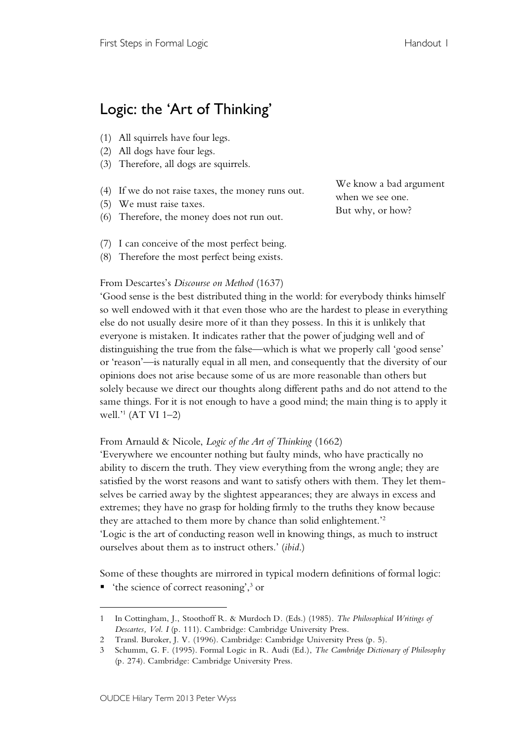## Logic: the 'Art of Thinking'

- (1) All squirrels have four legs.
- (2) All dogs have four legs.
- (3) Therefore, all dogs are squirrels.
- (4) If we do not raise taxes, the money runs out.
- (5) We must raise taxes.
- (6) Therefore, the money does not run out.

We know a bad argument when we see one. But why, or how?

- (7) I can conceive of the most perfect being.
- (8) Therefore the most perfect being exists.

## From Descartes's *Discourse on Method* (1637)

'Good sense is the best distributed thing in the world: for everybody thinks himself so well endowed with it that even those who are the hardest to please in everything else do not usually desire more of it than they possess. In this it is unlikely that everyone is mistaken. It indicates rather that the power of judging well and of distinguishing the true from the false—which is what we properly call 'good sense' or 'reason'—is naturally equal in all men, and consequently that the diversity of our opinions does not arise because some of us are more reasonable than others but solely because we direct our thoughts along different paths and do not attend to the same things. For it is not enough to have a good mind; the main thing is to apply it well.'1 (AT VI 1–2)

## From Arnauld & Nicole, *Logic of the Art of Thinking* (1662)

'Everywhere we encounter nothing but faulty minds, who have practically no ability to discern the truth. They view everything from the wrong angle; they are satisfied by the worst reasons and want to satisfy others with them. They let themselves be carried away by the slightest appearances; they are always in excess and extremes; they have no grasp for holding firmly to the truths they know because they are attached to them more by chance than solid enlightement.'2 'Logic is the art of conducting reason well in knowing things, as much to instruct

ourselves about them as to instruct others.' (*ibid*.)

Some of these thoughts are mirrored in typical modern definitions of formal logic:

 $\blacksquare$  'the science of correct reasoning',<sup>3</sup> or

 $\overline{a}$ 

<sup>1</sup> In Cottingham, J., Stoothoff R. & Murdoch D. (Eds.) (1985). *The Philosophical Writings of Descartes, Vol. I* (p. 111). Cambridge: Cambridge University Press.

<sup>2</sup> Transl. Buroker, J. V. (1996). Cambridge: Cambridge University Press (p. 5).

<sup>3</sup> Schumm, G. F. (1995). Formal Logic in R. Audi (Ed.), *The Cambridge Dictionary of Philosophy* (p. 274). Cambridge: Cambridge University Press.